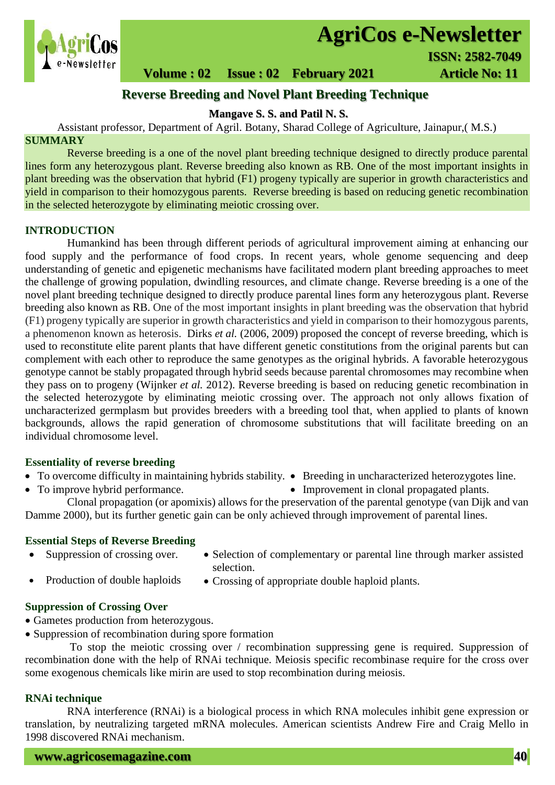

# **AgriCos e-Newsletter**

**Volume : 02 Issue : 02 February 2021 4rticle No: 11** 

## **Reverse Breeding and Novel Plant Breeding Technique**

**Mangave S. S. and Patil N. S.**

Assistant professor, Department of Agril. Botany, Sharad College of Agriculture, Jainapur,( M.S.) **SUMMARY**

 Reverse breeding is a one of the novel plant breeding technique designed to directly produce parental lines form any heterozygous plant. Reverse breeding also known as RB. One of the most important insights in plant breeding was the observation that hybrid (F1) progeny typically are superior in growth characteristics and yield in comparison to their homozygous parents. Reverse breeding is based on reducing genetic recombination in the selected heterozygote by eliminating meiotic crossing over.

## **INTRODUCTION**

Humankind has been through different periods of agricultural improvement aiming at enhancing our food supply and the performance of food crops. In recent years, whole genome sequencing and deep understanding of genetic and epigenetic mechanisms have facilitated modern plant breeding approaches to meet the challenge of growing population, dwindling resources, and climate change. Reverse breeding is a one of the novel plant breeding technique designed to directly produce parental lines form any heterozygous plant. Reverse breeding also known as RB. One of the most important insights in plant breeding was the observation that hybrid (F1) progeny typically are superior in growth characteristics and yield in comparison to their homozygous parents, a phenomenon known as heterosis. Dirks *et al.* (2006, 2009) proposed the concept of reverse breeding, which is used to reconstitute elite parent plants that have different genetic constitutions from the original parents but can complement with each other to reproduce the same genotypes as the original hybrids. A favorable heterozygous genotype cannot be stably propagated through hybrid seeds because parental chromosomes may recombine when they pass on to progeny (Wijnker *et al.* 2012). Reverse breeding is based on reducing genetic recombination in the selected heterozygote by eliminating meiotic crossing over. The approach not only allows fixation of uncharacterized germplasm but provides breeders with a breeding tool that, when applied to plants of known backgrounds, allows the rapid generation of chromosome substitutions that will facilitate breeding on an individual chromosome level.

## **Essentiality of reverse breeding**

- To overcome difficulty in maintaining hybrids stability. Breeding in uncharacterized heterozygotes line.
- To improve hybrid performance. <br>• Improvement in clonal propagated plants.

Clonal propagation (or apomixis) allows for the preservation of the parental genotype (van Dijk and van Damme 2000), but its further genetic gain can be only achieved through improvement of parental lines.

## **Essential Steps of Reverse Breeding**

- 
- Suppression of crossing over. Selection of complementary or parental line through marker assisted selection.
- 
- Production of double haploids Crossing of appropriate double haploid plants.

## **Suppression of Crossing Over**

- Gametes production from heterozygous.
- Suppression of recombination during spore formation

To stop the meiotic crossing over / recombination suppressing gene is required. Suppression of recombination done with the help of RNAi technique. Meiosis specific recombinase require for the cross over some exogenous chemicals like mirin are used to stop recombination during meiosis.

## **RNAi technique**

RNA interference (RNAi) is a biological process in which [RNA](https://en.wikipedia.org/wiki/RNA) molecules [inhibit gene expression](https://en.wikipedia.org/wiki/Regulation_of_gene_expression) or translation, by neutralizing targeted [mRNA](https://en.wikipedia.org/wiki/MRNA) molecules. American scientists Andrew Fire and Craig Mello in 1998 discovered RNAi mechanism.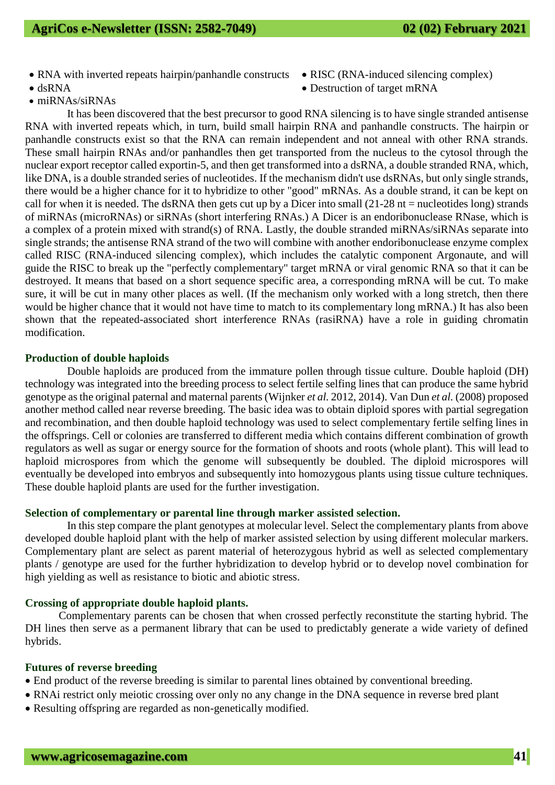- RNA with inverted repeats hairpin/panhandle constructs [RISC](https://en.wikipedia.org/wiki/RNA-induced_silencing_complex) [\(RNA-induced silencing complex\)](https://en.wikipedia.org/wiki/RNA-induced_silencing_complex)
- 
- [miRNAs](https://en.wikipedia.org/wiki/MiRNA)[/siRNAs](https://en.wikipedia.org/wiki/SiRNA)
- 
- dsRNA Destruction of target [mRNA](https://en.wikipedia.org/wiki/Messenger_RNA)

It has been discovered that the best precursor to good RNA silencing is to have single stranded [antisense](https://en.wikipedia.org/wiki/Antisense_RNA)  [RNA](https://en.wikipedia.org/wiki/Antisense_RNA) with [inverted repeats](https://en.wikipedia.org/wiki/Inverted_repeat) which, in turn, build [small hairpin RNA](https://en.wikipedia.org/wiki/Small_hairpin_RNA) and panhandle constructs. The hairpin or panhandle constructs exist so that the RNA can remain independent and not anneal with other RNA strands. These [small hairpin RNAs](https://en.wikipedia.org/wiki/Small_hairpin_RNA) and/or panhandles then get transported from the nucleus to the cytosol through the nuclear export receptor called exportin-5, and then get transformed into a dsRNA, a double stranded RNA, which, like DNA, is a double stranded series of [nucleotides.](https://en.wikipedia.org/wiki/Nucleotide) If the mechanism didn't use dsRNAs, but only single strands, there would be a higher chance for it to hybridize to other "good" mRNAs. As a double strand, it can be kept on call for when it is needed. The dsRNA then gets cut up by a [Dicer](https://en.wikipedia.org/wiki/Dicer) into small  $(21-28$  nt = [nucleotides](https://en.wikipedia.org/wiki/Nucleotide) long) strands of miRNAs [\(microRNAs\)](https://en.wikipedia.org/wiki/MicroRNA) or [siRNAs](https://en.wikipedia.org/wiki/SiRNA) (short interfering RNAs.) A [Dicer](https://en.wikipedia.org/wiki/Dicer) is an [endoribonuclease](https://en.wikipedia.org/wiki/Endoribonuclease) [RNase,](https://en.wikipedia.org/wiki/RNase) which is a complex of a protein mixed with strand(s) of RNA. Lastly, the double stranded [miRNAs/](https://en.wikipedia.org/wiki/MiRNA)[siRNAs](https://en.wikipedia.org/wiki/SiRNA) separate into single strands; the [antisense RNA](https://en.wikipedia.org/wiki/Antisense_RNA) strand of the two will combine with another [endoribonuclease](https://en.wikipedia.org/wiki/Endoribonuclease) enzyme complex called RISC [\(RNA-induced silencing complex\)](https://en.wikipedia.org/wiki/RNA-induced_silencing_complex), which includes the catalytic component [Argonaute,](https://en.wikipedia.org/wiki/Argonaute) and will guide the RISC to break up the "perfectly complementary" target mRNA or viral genomic RNA so that it can be destroyed. It means that based on a short sequence specific area, a corresponding mRNA will be cut. To make sure, it will be cut in many other places as well. (If the mechanism only worked with a long stretch, then there would be higher chance that it would not have time to match to its complementary long mRNA.) It has also been shown that the repeated-associated short interference RNAs [\(rasiRNA\)](https://en.wikipedia.org/wiki/RasiRNA) have a role in guiding chromatin modification.

## **Production of double haploids**

Double haploids are produced from the immature pollen through tissue culture. Double haploid (DH) technology was integrated into the breeding process to select fertile selfing lines that can produce the same hybrid genotype as the original paternal and maternal parents (Wijnker *et al.* 2012, 2014). Van Dun *et al.* (2008) proposed another method called near reverse breeding. The basic idea was to obtain diploid spores with partial segregation and recombination, and then double haploid technology was used to select complementary fertile selfing lines in the offsprings. Cell or colonies are transferred to different media which contains different combination of growth regulators as well as sugar or energy source for the formation of shoots and roots (whole plant). This will lead to haploid microspores from which the genome will subsequently be doubled. The diploid microspores will eventually be developed into embryos and subsequently into homozygous plants using tissue culture techniques. These double haploid plants are used for the further investigation.

#### **Selection of complementary or parental line through marker assisted selection.**

In this step compare the plant genotypes at molecular level. Select the complementary plants from above developed double haploid plant with the help of marker assisted selection by using different molecular markers. Complementary plant are select as parent material of heterozygous hybrid as well as selected complementary plants / genotype are used for the further hybridization to develop hybrid or to develop novel combination for high yielding as well as resistance to biotic and abiotic stress.

#### **Crossing of appropriate double haploid plants.**

Complementary parents can be chosen that when crossed perfectly reconstitute the starting hybrid. The DH lines then serve as a permanent library that can be used to predictably generate a wide variety of defined hybrids.

#### **Futures of reverse breeding**

- End product of the reverse breeding is similar to parental lines obtained by conventional breeding.
- RNAi restrict only meiotic crossing over only no any change in the DNA sequence in reverse bred plant
- Resulting offspring are regarded as non-genetically modified.